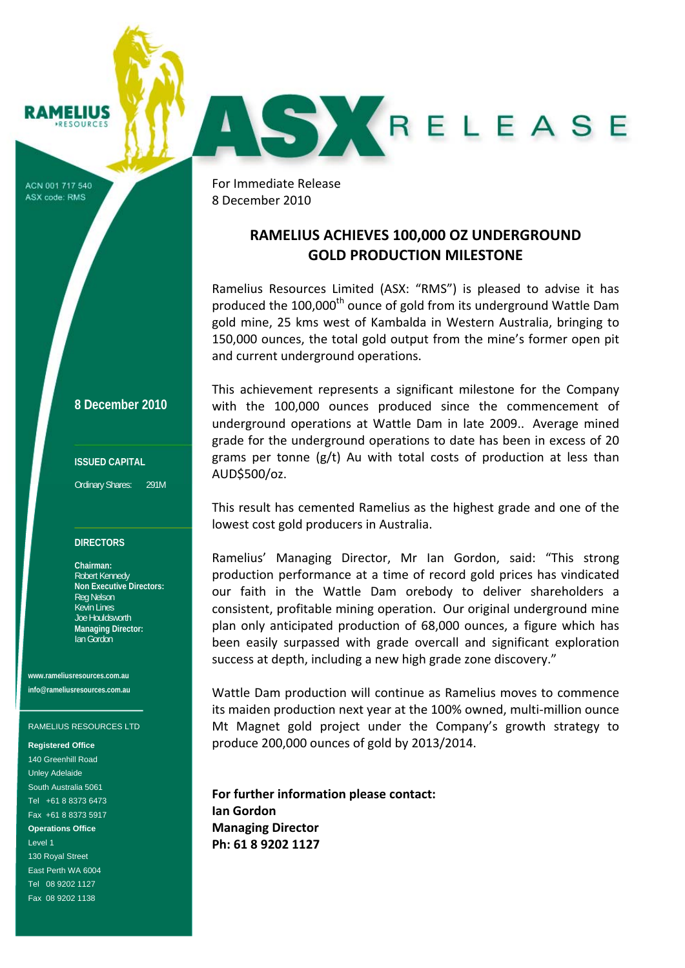# **RAMELIUS**

ACN 001 717 540 ASX code: RMS

**8 December 2010**

### **ISSUED CAPITAL**

Ordinary Shares: 291M

#### **DIRECTORS**

**Chairman:**  Robert Kennedy **Non Executive Directors:**  Reg Nelson Kevin Lines Joe Houldsworth **Managing Director:**  Ian Gordon

**www.rameliusresources.com.au info@rameliusresources.com.au** 

#### RAMELIUS RESOURCES LTD

#### **Registered Office**

140 Greenhill Road Unley Adelaide South Australia 5061 Tel +61 8 8373 6473 Fax +61 8 8373 5917 **Operations Office**  Level 1 130 Royal Street East Perth WA 6004 Tel 08 9202 1127 Fax 08 9202 1138

For Immediate Release  8 December 2010

## **RAMELIUS ACHIEVES 100,000 OZ UNDERGROUND GOLD PRODUCTION MILESTONE**

AS KRELEASE

Ramelius Resources Limited (ASX: "RMS") is pleased to advise it has produced the 100,000<sup>th</sup> ounce of gold from its underground Wattle Dam gold mine, 25 kms west of Kambalda in Western Australia, bringing to 150,000 ounces, the total gold output from the mine's former open pit and current underground operations.

This achievement represents a significant milestone for the Company with the 100,000 ounces produced since the commencement of underground operations at Wattle Dam in late 2009.. Average mined grade for the underground operations to date has been in excess of 20 grams per tonne (g/t) Au with total costs of production at less than AUD\$500/oz.

This result has cemented Ramelius as the highest grade and one of the lowest cost gold producers in Australia.

Ramelius' Managing Director, Mr Ian Gordon, said: "This strong production performance at a time of record gold prices has vindicated our faith in the Wattle Dam orebody to deliver shareholders a consistent, profitable mining operation. Our original underground mine plan only anticipated production of 68,000 ounces, a figure which has been easily surpassed with grade overcall and significant exploration success at depth, including a new high grade zone discovery."

Wattle Dam production will continue as Ramelius moves to commence its maiden production next year at the 100% owned, multi‐million ounce Mt Magnet gold project under the Company's growth strategy to produce 200,000 ounces of gold by 2013/2014.

**For further information please contact: Ian Gordon Managing Director Ph: 61 8 9202 1127**